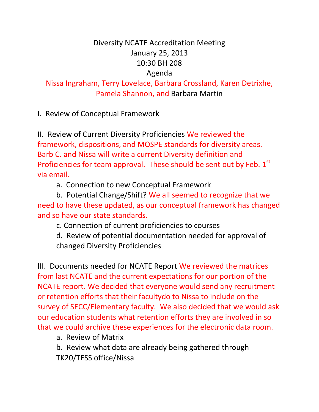## Diversity NCATE Accreditation Meeting January 25, 2013 10:30 BH 208 Agenda

Nissa Ingraham, Terry Lovelace, Barbara Crossland, Karen Detrixhe, Pamela Shannon, and Barbara Martin

I. Review of Conceptual Framework

II. Review of Current Diversity Proficiencies We reviewed the framework, dispositions, and MOSPE standards for diversity areas. Barb C. and Nissa will write a current Diversity definition and Proficiencies for team approval. These should be sent out by Feb.  $1<sup>st</sup>$ via email.

a. Connection to new Conceptual Framework

b. Potential Change/Shift? We all seemed to recognize that we need to have these updated, as our conceptual framework has changed and so have our state standards.

c. Connection of current proficiencies to courses

d. Review of potential documentation needed for approval of changed Diversity Proficiencies

III. Documents needed for NCATE Report We reviewed the matrices from last NCATE and the current expectations for our portion of the NCATE report. We decided that everyone would send any recruitment or retention efforts that their facultydo to Nissa to include on the survey of SECC/Elementary faculty. We also decided that we would ask our education students what retention efforts they are involved in so that we could archive these experiences for the electronic data room.

a. Review of Matrix

b. Review what data are already being gathered through TK20/TESS office/Nissa